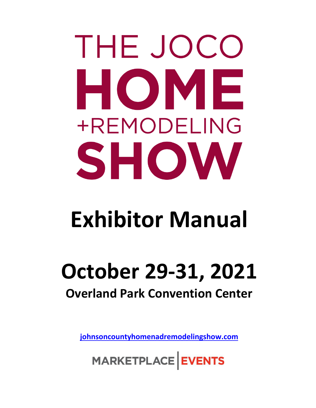# THE JOCO HOME +REMODELING SHOW

## **Exhibitor Manual**

### **October 29-31, 2021 Overland Park Convention Center**

**[johnsoncountyhomenadremodelingshow.com](https://johnsoncountyhomeandremodelingshow.com/)**

MARKETPLACE EVENTS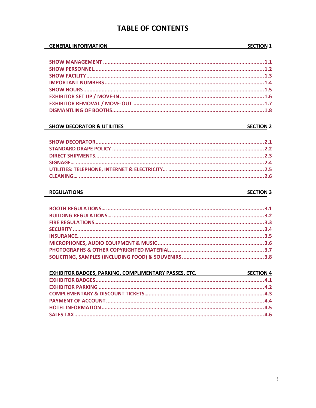#### **TABLE OF CONTENTS**

#### **GENERAL INFORMATION**

#### 

#### **SHOW DECORATOR & UTILITIES**

#### **SECTION 2**

#### **REGULATIONS**

#### **SECTION 3**

| SECTION 4<br>EXHIBITOR BADGES, PARKING, COMPLIMENTARY PASSES, ETC. |  |
|--------------------------------------------------------------------|--|
|                                                                    |  |
|                                                                    |  |
|                                                                    |  |
|                                                                    |  |
|                                                                    |  |
|                                                                    |  |

#### **SECTION 1**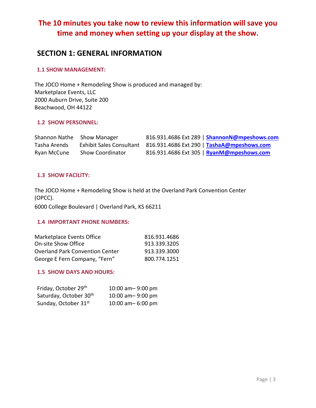#### **The 10 minutes you take now to review this information will save you time and money when setting up your display at the show.**

#### **SECTION 1: GENERAL INFORMATION**

#### **1.1 SHOW MANAGEMENT:**

The JOCO Home + Remodeling Show is produced and managed by: Marketplace Events, LLC 2000 Auburn Drive, Suite 200 Beachwood, OH 44122

#### **1.2 SHOW PERSONNEL:**

| Shannon Nathe Show Manager |                         | 816.931.4686 Ext 289   ShannonN@mpeshows.com                        |
|----------------------------|-------------------------|---------------------------------------------------------------------|
| Tasha Arends               |                         | Exhibit Sales Consultant 816.931.4686 Ext 290   TashaA@mpeshows.com |
| Ryan McCune                | <b>Show Coordinator</b> | 816.931.4686 Ext 305   <mark>RyanM@mpeshows.com</mark>              |

#### **1.3 SHOW FACILITY:**

The JOCO Home + Remodeling Show is held at the Overland Park Convention Center (OPCC).

6000 College Boulevard | Overland Park, KS 66211

#### **1.4 IMPORTANT PHONE NUMBERS:**

| Marketplace Events Office              | 816.931.4686 |
|----------------------------------------|--------------|
| <b>On-site Show Office</b>             | 913.339.3205 |
| <b>Overland Park Convention Center</b> | 913.339.3000 |
| George E Fern Company, "Fern"          | 800.774.1251 |

#### **1.5 SHOW DAYS AND HOURS:**

| Friday, October 29th               | 10:00 am-9:00 pm   |
|------------------------------------|--------------------|
| Saturday, October 30 <sup>th</sup> | 10:00 am - 9:00 pm |
| Sunday, October 31st               | 10:00 am-6:00 pm   |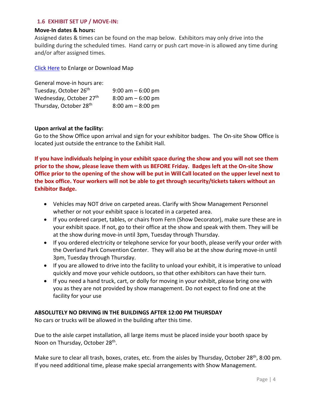#### **1.6 EXHIBIT SET UP / MOVE-IN:**

#### **Move-In dates & hours:**

Assigned dates & times can be found on the map below. Exhibitors may only drive into the building during the scheduled times. Hand carry or push cart move-in is allowed any time during and/or after assigned times.

[Click Here](https://marketplaceevents.azureedge.net/sitefinity/docs/default-source/default-document-library/click-here1b3e2d0ea9a06e0abe1eff0000415d3a.pdf?sfvrsn=4d9e433e_0) to Enlarge or Download Map

| General move-in hours are:         |                      |
|------------------------------------|----------------------|
| Tuesday, October 26 <sup>th</sup>  | $9:00$ am $-6:00$ pm |
| Wednesday, October 27th            | $8:00$ am $-6:00$ pm |
| Thursday, October 28 <sup>th</sup> | $8:00$ am $-8:00$ pm |

#### **Upon arrival at the facility:**

Go to the Show Office upon arrival and sign for your exhibitor badges. The On-site Show Office is located just outside the entrance to the Exhibit Hall.

**If you have individuals helping in your exhibit space during the show and you will not see them prior to the show, please leave them with us BEFORE Friday. Badges left at the On-site Show Office prior to the opening of the show will be put in WillCall located on the upper level next to the box office. Your workers will not be able to get through security/tickets takers without an Exhibitor Badge.**

- Vehicles may NOT drive on carpeted areas. Clarify with Show Management Personnel whether or not your exhibit space is located in a carpeted area.
- If you ordered carpet, tables, or chairs from Fern (Show Decorator), make sure these are in your exhibit space. If not, go to their office at the show and speak with them. They will be at the show during move-in until 3pm, Tuesday through Thursday.
- If you ordered electricity or telephone service for your booth, please verify your order with the Overland Park Convention Center. They will also be at the show during move-in until 3pm, Tuesday through Thursday.
- If you are allowed to drive into the facility to unload your exhibit, it is imperative to unload quickly and move your vehicle outdoors, so that other exhibitors can have their turn.
- If you need a hand truck, cart, or dolly for moving in your exhibit, please bring one with you as they are not provided by show management. Do not expect to find one at the facility for your use

#### **ABSOLUTELY NO DRIVING IN THE BUILDINGS AFTER 12:00 PM THURSDAY**

No cars or trucks will be allowed in the building after this time.

Due to the aisle carpet installation, all large items must be placed inside your booth space by Noon on Thursday, October 28<sup>th</sup>.

Make sure to clear all trash, boxes, crates, etc. from the aisles by Thursday, October 28<sup>th</sup>, 8:00 pm. If you need additional time, please make special arrangements with Show Management.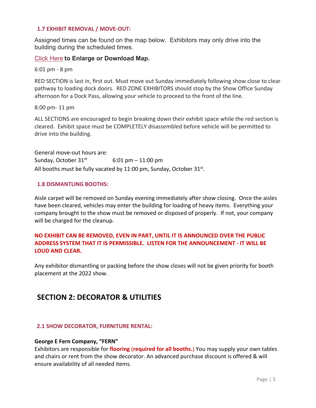#### **1.7 EXHIBIT REMOVAL / MOVE-OUT:**

Assigned times can be found on the map below. Exhibitors may only drive into the building during the scheduled times.

#### [Click Here](https://marketplaceevents.azureedge.net/sitefinity/docs/default-source/default-document-library/map-move-out-21joco-version-2021_08_27.pdf?sfvrsn=69b5413e_0) **to Enlarge or Download Map.**

6:01 pm - 8 pm

RED SECTION is last in, first out. Must move out Sunday immediately following show close to clear pathway to loading dock doors. RED ZONE EXHIBITORS should stop by the Show Office Sunday afternoon for a Dock Pass, allowing your vehicle to proceed to the front of the line.

8:00 pm- 11 pm

ALL SECTIONS are encouraged to begin breaking down their exhibit space while the red section is cleared. Exhibit space must be COMPLETELY disassembled before vehicle will be permitted to drive into the building.

General move-out hours are: Sunday, October  $31<sup>st</sup>$  6:01 pm – 11:00 pm All booths must be fully vacated by  $11:00$  pm, Sunday, October  $31^{st}$ .

#### **1.8 DISMANTLING BOOTHS:**

Aisle carpet will be removed on Sunday evening immediately after show closing. Once the aisles have been cleared, vehicles may enter the building for loading of heavy items. Everything your company brought to the show must be removed or disposed of properly. If not, your company will be charged for the cleanup.

#### **NO EXHIBIT CAN BE REMOVED, EVEN IN PART, UNTIL IT IS ANNOUNCED OVER THE PUBLIC ADDRESS SYSTEM THAT IT IS PERMISSIBLE. LISTEN FOR THE ANNOUNCEMENT - IT WILL BE LOUD AND CLEAR.**

Any exhibitor dismantling or packing before the show closes will not be given priority for booth placement at the 2022 show.

#### **SECTION 2: DECORATOR & UTILITIES**

#### **2.1 SHOW DECORATOR, FURNITURE RENTAL:**

#### **George E Fern Company, "FERN"**

Exhibitors are responsible for **flooring** (**required for all booths.**) You may supply your own tables and chairs or rent from the show decorator. An advanced purchase discount is offered & will ensure availability of all needed items.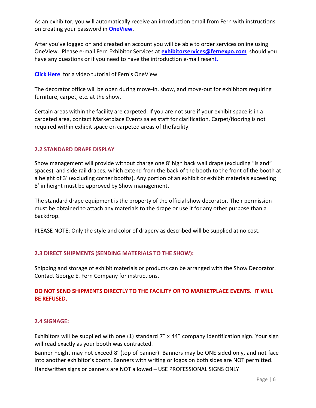As an exhibitor, you will automatically receive an introduction email from Fern with instructions on creating your password in **[OneView](https://fernoneview.com/)**.

After you've logged on and created an account you will be able to order services online using OneView. Please e-mail Fern Exhibitor Services at **[exhibitorservices@fernexpo.com](mailto:exhibitorservices@fernexpo.com)** should you have any questions or if you need to have the introduction e-mail resent.

**[Click Here](https://vimeo.com/386508998)** for a video tutorial of Fern's OneView.

The decorator office will be open during move-in, show, and move-out for exhibitors requiring furniture, carpet, etc. at the show.

Certain areas within the facility are carpeted. If you are not sure if your exhibit space is in a carpeted area, contact Marketplace Events sales staff for clarification. Carpet/flooring is not required within exhibit space on carpeted areas of thefacility.

#### **2.2 STANDARD DRAPE DISPLAY**

Show management will provide without charge one 8' high back wall drape (excluding "island" spaces), and side rail drapes, which extend from the back of the booth to the front of the booth at a height of 3' (excluding corner booths). Any portion of an exhibit or exhibit materials exceeding 8' in height must be approved by Show management.

The standard drape equipment is the property of the official show decorator. Their permission must be obtained to attach any materials to the drape or use it for any other purpose than a backdrop.

PLEASE NOTE: Only the style and color of drapery as described will be supplied at no cost.

#### **2.3 DIRECT SHIPMENTS (SENDING MATERIALS TO THE SHOW):**

Shipping and storage of exhibit materials or products can be arranged with the Show Decorator. Contact George E. Fern Company for instructions.

#### **DO NOT SEND SHIPMENTS DIRECTLY TO THE FACILITY OR TO MARKETPLACE EVENTS. IT WILL BE REFUSED.**

#### **2.4 SIGNAGE:**

Exhibitors will be supplied with one (1) standard 7" x 44" company identification sign. Your sign will read exactly as your booth was contracted.

Banner height may not exceed 8' (top of banner). Banners may be ONE sided only, and not face into another exhibitor's booth. Banners with writing or logos on both sides are NOT permitted. Handwritten signs or banners are NOT allowed – USE PROFESSIONAL SIGNS ONLY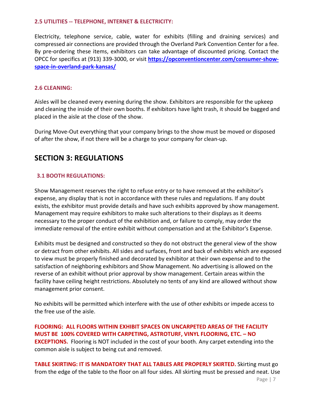#### **2.5 UTILITIES -- TELEPHONE, INTERNET & ELECTRICITY:**

Electricity, telephone service, cable, water for exhibits (filling and draining services) and compressed air connections are provided through the Overland Park Convention Center for a fee. By pre-ordering these items, exhibitors can take advantage of discounted pricing. Contact the OPCC for specifics at (913) 339-3000, or visit **[https://opconventioncenter.com/consumer-show](https://opconventioncenter.com/consumer-show-space-in-overland-park-kansas/)[space-in-overland-park-kansas/](https://opconventioncenter.com/consumer-show-space-in-overland-park-kansas/)**

#### **2.6 CLEANING:**

Aisles will be cleaned every evening during the show. Exhibitors are responsible for the upkeep and cleaning the inside of their own booths. If exhibitors have light trash, it should be bagged and placed in the aisle at the close of the show.

During Move-Out everything that your company brings to the show must be moved or disposed of after the show, if not there will be a charge to your company for clean-up.

#### **SECTION 3: REGULATIONS**

#### **3.1 BOOTH REGULATIONS:**

Show Management reserves the right to refuse entry or to have removed at the exhibitor's expense, any display that is not in accordance with these rules and regulations. If any doubt exists, the exhibitor must provide details and have such exhibits approved by show management. Management may require exhibitors to make such alterations to their displays as it deems necessary to the proper conduct of the exhibition and, or failure to comply, may order the immediate removal of the entire exhibit without compensation and at the Exhibitor's Expense.

Exhibits must be designed and constructed so they do not obstruct the general view of the show or detract from other exhibits. All sides and surfaces, front and back of exhibits which are exposed to view must be properly finished and decorated by exhibitor at their own expense and to the satisfaction of neighboring exhibitors and Show Management. No advertising is allowed on the reverse of an exhibit without prior approval by show management. Certain areas within the facility have ceiling height restrictions. Absolutely no tents of any kind are allowed without show management prior consent.

No exhibits will be permitted which interfere with the use of other exhibits or impede access to the free use of the aisle.

**FLOORING: ALL FLOORS WITHIN EXHIBIT SPACES ON UNCARPETED AREAS OF THE FACILITY MUST BE 100% COVERED WITH CARPETING, ASTROTURF, VINYL FLOORING, ETC. – NO EXCEPTIONS.** Flooring is NOT included in the cost of your booth. Any carpet extending into the common aisle is subject to being cut and removed.

**TABLE SKIRTING: IT IS MANDATORY THAT ALL TABLES ARE PROPERLY SKIRTED.** Skirting must go from the edge of the table to the floor on all four sides. All skirting must be pressed and neat. Use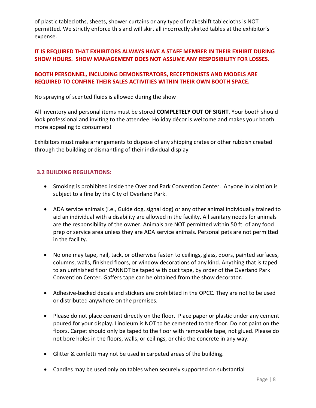of plastic tablecloths, sheets, shower curtains or any type of makeshift tablecloths is NOT permitted. We strictly enforce this and will skirt all incorrectly skirted tables at the exhibitor's expense.

#### **IT IS REQUIRED THAT EXHIBITORS ALWAYS HAVE A STAFF MEMBER IN THEIR EXHIBIT DURING SHOW HOURS. SHOW MANAGEMENT DOES NOT ASSUME ANY RESPOSIBILITY FOR LOSSES.**

#### **BOOTH PERSONNEL, INCLUDING DEMONSTRATORS, RECEPTIONISTS AND MODELS ARE REQUIRED TO CONFINE THEIR SALES ACTIVITIES WITHIN THEIR OWN BOOTH SPACE.**

No spraying of scented fluids is allowed during the show

All inventory and personal items must be stored **COMPLETELY OUT OF SIGHT**. Your booth should look professional and inviting to the attendee. Holiday décor is welcome and makes your booth more appealing to consumers!

Exhibitors must make arrangements to dispose of any shipping crates or other rubbish created through the building or dismantling of their individual display

#### **3.2 BUILDING REGULATIONS:**

- Smoking is prohibited inside the Overland Park Convention Center. Anyone in violation is subject to a fine by the City of Overland Park.
- ADA service animals (i.e., Guide dog, signal dog) or any other animal individually trained to aid an individual with a disability are allowed in the facility. All sanitary needs for animals are the responsibility of the owner. Animals are NOT permitted within 50 ft. of any food prep or service area unless they are ADA service animals. Personal pets are not permitted in the facility.
- No one may tape, nail, tack, or otherwise fasten to ceilings, glass, doors, painted surfaces, columns, walls, finished floors, or window decorations of any kind. Anything that is taped to an unfinished floor CANNOT be taped with duct tape, by order of the Overland Park Convention Center. Gaffers tape can be obtained from the show decorator.
- Adhesive-backed decals and stickers are prohibited in the OPCC. They are not to be used or distributed anywhere on the premises.
- Please do not place cement directly on the floor. Place paper or plastic under any cement poured for your display. Linoleum is NOT to be cemented to the floor. Do not paint on the floors. Carpet should only be taped to the floor with removable tape, not glued. Please do not bore holes in the floors, walls, or ceilings, or chip the concrete in any way.
- Glitter & confetti may not be used in carpeted areas of the building.
- Candles may be used only on tables when securely supported on substantial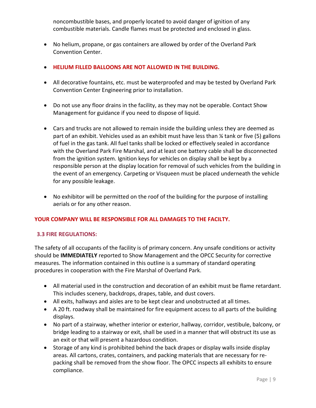noncombustible bases, and properly located to avoid danger of ignition of any combustible materials. Candle flames must be protected and enclosed in glass.

- No helium, propane, or gas containers are allowed by order of the Overland Park Convention Center.
- **HELIUM FILLED BALLOONS ARE NOT ALLOWED IN THE BUILDING.**
- All decorative fountains, etc. must be waterproofed and may be tested by Overland Park Convention Center Engineering prior to installation.
- Do not use any floor drains in the facility, as they may not be operable. Contact Show Management for guidance if you need to dispose of liquid.
- Cars and trucks are not allowed to remain inside the building unless they are deemed as part of an exhibit. Vehicles used as an exhibit must have less than ¼ tank or five (5) gallons of fuel in the gas tank. All fuel tanks shall be locked or effectively sealed in accordance with the Overland Park Fire Marshal, and at least one battery cable shall be disconnected from the ignition system. Ignition keys for vehicles on display shall be kept by a responsible person at the display location for removal of such vehicles from the building in the event of an emergency. Carpeting or Visqueen must be placed underneath the vehicle for any possible leakage.
- No exhibitor will be permitted on the roof of the building for the purpose of installing aerials or for any other reason.

#### **YOUR COMPANY WILL BE RESPONSIBLE FOR ALL DAMAGES TO THE FACILTY.**

#### **3.3 FIRE REGULATIONS:**

The safety of all occupants of the facility is of primary concern. Any unsafe conditions or activity should be **IMMEDIATELY** reported to Show Management and the OPCC Security for corrective measures. The information contained in this outline is a summary of standard operating procedures in cooperation with the Fire Marshal of Overland Park.

- All material used in the construction and decoration of an exhibit must be flame retardant. This includes scenery, backdrops, drapes, table, and dust covers.
- All exits, hallways and aisles are to be kept clear and unobstructed at all times.
- A 20 ft. roadway shall be maintained for fire equipment access to all parts of the building displays.
- No part of a stairway, whether interior or exterior, hallway, corridor, vestibule, balcony, or bridge leading to a stairway or exit, shall be used in a manner that will obstruct its use as an exit or that will present a hazardous condition.
- Storage of any kind is prohibited behind the back drapes or display walls inside display areas. All cartons, crates, containers, and packing materials that are necessary for repacking shall be removed from the show floor. The OPCC inspects all exhibits to ensure compliance.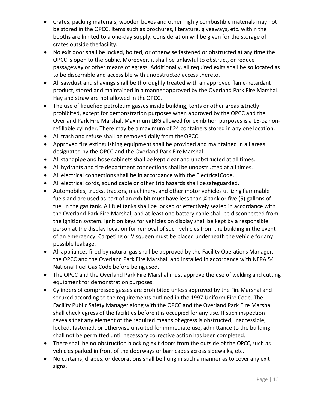- Crates, packing materials, wooden boxes and other highly combustible materials may not be stored in the OPCC. Items such as brochures, literature, giveaways, etc. within the booths are limited to a one-day supply. Consideration will be given for the storage of crates outside the facility.
- No exit door shall be locked, bolted, or otherwise fastened or obstructed at any time the OPCC is open to the public. Moreover, it shall be unlawful to obstruct, or reduce passageway or other means of egress. Additionally, all required exits shall be so located as to be discernible and accessible with unobstructed access thereto.
- All sawdust and shavings shall be thoroughly treated with an approved flame-retardant product, stored and maintained in a manner approved by the Overland Park Fire Marshal. Hay and straw are not allowed in theOPCC.
- The use of liquefied petroleum gasses inside building, tents or other areas is trictly prohibited, except for demonstration purposes when approved by the OPCC and the Overland Park Fire Marshal. Maximum LBG allowed for exhibition purposes is a 16-oz nonrefillable cylinder. There may be a maximum of 24 containers stored in any one location.
- All trash and refuse shall be removed daily from theOPCC.
- Approved fire extinguishing equipment shall be provided and maintained in all areas designated by the OPCC and the Overland Park Fire Marshal.
- All standpipe and hose cabinets shall be kept clear and unobstructed at all times.
- All hydrants and fire department connections shall be unobstructed at all times.
- All electrical connections shall be in accordance with the ElectricalCode.
- All electrical cords, sound cable or other trip hazards shall besafeguarded.
- Automobiles, trucks, tractors, machinery, and other motor vehicles utilizing flammable fuels and are used as part of an exhibit must have less than ¼ tank or five (5) gallons of fuel in the gas tank. All fuel tanks shall be locked or effectively sealed in accordance with the Overland Park Fire Marshal, and at least one battery cable shall be disconnected from the ignition system. Ignition keys for vehicles on display shall be kept by a responsible person at the display location for removal of such vehicles from the building in the event of an emergency. Carpeting or Visqueen must be placed underneath the vehicle for any possible leakage.
- All appliances fired by natural gas shall be approved by the Facility Operations Manager, the OPCC and the Overland Park Fire Marshal, and installed in accordance with NFPA 54 National Fuel Gas Code before beingused.
- The OPCC and the Overland Park Fire Marshal must approve the use of welding and cutting equipment for demonstration purposes.
- Cylinders of compressed gasses are prohibited unless approved by the Fire Marshal and secured according to the requirements outlined in the 1997 Uniform Fire Code. The Facility Public Safety Manager along with the OPCC and the Overland Park Fire Marshal shall check egress of the facilities before it is occupied for any use. If such inspection reveals that any element of the required means of egress is obstructed, inaccessible, locked, fastened, or otherwise unsuited for immediate use, admittance to the building shall not be permitted until necessary corrective action has been completed.
- There shall be no obstruction blocking exit doors from the outside of the OPCC, such as vehicles parked in front of the doorways or barricades across sidewalks, etc.
- No curtains, drapes, or decorations shall be hung in such a manner as to cover any exit signs.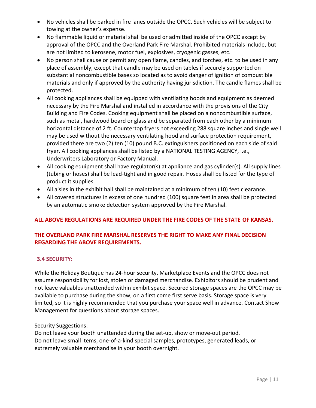- No vehicles shall be parked in fire lanes outside the OPCC. Such vehicles will be subject to towing at the owner's expense.
- No flammable liquid or material shall be used or admitted inside of the OPCC except by approval of the OPCC and the Overland Park Fire Marshal. Prohibited materials include, but are not limited to kerosene, motor fuel, explosives, cryogenic gasses, etc.
- No person shall cause or permit any open flame, candles, and torches, etc. to be used in any place of assembly, except that candle may be used on tables if securely supported on substantial noncombustible bases so located as to avoid danger of ignition of combustible materials and only if approved by the authority having jurisdiction. The candle flames shall be protected.
- All cooking appliances shall be equipped with ventilating hoods and equipment as deemed necessary by the Fire Marshal and installed in accordance with the provisions of the City Building and Fire Codes. Cooking equipment shall be placed on a noncombustible surface, such as metal, hardwood board or glass and be separated from each other by a minimum horizontal distance of 2 ft. Countertop fryers not exceeding 288 square inches and single well may be used without the necessary ventilating hood and surface protection requirement, provided there are two (2) ten (10) pound B.C. extinguishers positioned on each side of said fryer. All cooking appliances shall be listed by a NATIONAL TESTING AGENCY, i.e., Underwriters Laboratory or Factory Manual.
- All cooking equipment shall have regulator(s) at appliance and gas cylinder(s). All supply lines (tubing or hoses) shall be lead-tight and in good repair. Hoses shall be listed for the type of product it supplies.
- All aisles in the exhibit hall shall be maintained at a minimum of ten (10) feet clearance.
- All covered structures in excess of one hundred (100) square feet in area shall be protected by an automatic smoke detection system approved by the Fire Marshal.

#### **ALL ABOVE REGULATIONS ARE REQUIRED UNDER THE FIRE CODES OF THE STATE OF KANSAS.**

#### **THE OVERLAND PARK FIRE MARSHAL RESERVES THE RIGHT TO MAKE ANY FINAL DECISION REGARDING THE ABOVE REQUIREMENTS.**

#### **3.4 SECURITY:**

While the Holiday Boutique has 24-hour security, Marketplace Events and the OPCC does not assume responsibility for lost, stolen or damaged merchandise. Exhibitors should be prudent and not leave valuables unattended within exhibit space. Secured storage spaces are the OPCC may be available to purchase during the show, on a first come first serve basis. Storage space is very limited, so it is highly recommended that you purchase your space well in advance. Contact Show Management for questions about storage spaces.

Security Suggestions:

Do not leave your booth unattended during the set-up, show or move-out period. Do not leave small items, one-of-a-kind special samples, prototypes, generated leads, or extremely valuable merchandise in your booth overnight.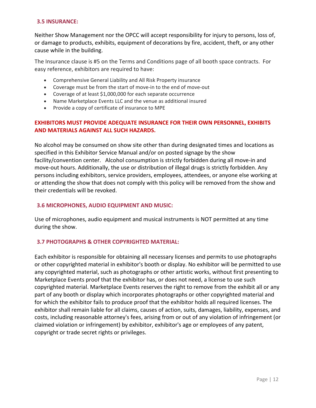#### **3.5 INSURANCE:**

Neither Show Management nor the OPCC will accept responsibility for injury to persons, loss of, or damage to products, exhibits, equipment of decorations by fire, accident, theft, or any other cause while in the building.

The Insurance clause is #5 on the Terms and Conditions page of all booth space contracts. For easy reference, exhibitors are required to have:

- Comprehensive General Liability and All Risk Property insurance
- Coverage must be from the start of move-in to the end of move-out
- Coverage of at least \$1,000,000 for each separate occurrence
- Name Marketplace Events LLC and the venue as additional insured
- Provide a copy of certificate of insurance to MPE

#### **EXHIBITORS MUST PROVIDE ADEQUATE INSURANCE FOR THEIR OWN PERSONNEL, EXHIBITS AND MATERIALS AGAINST ALL SUCH HAZARDS.**

No alcohol may be consumed on show site other than during designated times and locations as specified in this Exhibitor Service Manual and/or on posted signage by the show facility/convention center. Alcohol consumption is strictly forbidden during all move-in and move-out hours. Additionally, the use or distribution of illegal drugs is strictly forbidden. Any persons including exhibitors, service providers, employees, attendees, or anyone else working at or attending the show that does not comply with this policy will be removed from the show and their credentials will be revoked.

#### **3.6 MICROPHONES, AUDIO EQUIPMENT AND MUSIC:**

Use of microphones, audio equipment and musical instruments is NOT permitted at any time during the show.

#### **3.7 PHOTOGRAPHS & OTHER COPYRIGHTED MATERIAL:**

Each exhibitor is responsible for obtaining all necessary licenses and permits to use photographs or other copyrighted material in exhibitor's booth or display. No exhibitor will be permitted to use any copyrighted material, such as photographs or other artistic works, without first presenting to Marketplace Events proof that the exhibitor has, or does not need, a license to use such copyrighted material. Marketplace Events reserves the right to remove from the exhibit all or any part of any booth or display which incorporates photographs or other copyrighted material and for which the exhibitor fails to produce proof that the exhibitor holds all required licenses. The exhibitor shall remain liable for all claims, causes of action, suits, damages, liability, expenses, and costs, including reasonable attorney's fees, arising from or out of any violation of infringement (or claimed violation or infringement) by exhibitor, exhibitor's age or employees of any patent, copyright or trade secret rights or privileges.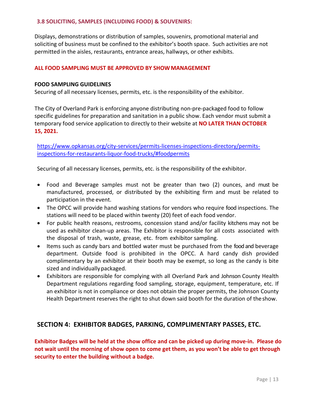#### **3.8 SOLICITING, SAMPLES (INCLUDING FOOD) & SOUVENIRS:**

Displays, demonstrations or distribution of samples, souvenirs, promotional material and soliciting of business must be confined to the exhibitor's booth space. Such activities are not permitted in the aisles, restaurants, entrance areas, hallways, or other exhibits.

#### **ALL FOOD SAMPLING MUST BE APPROVED BY SHOWMANAGEMENT**

#### **FOOD SAMPLING GUIDELINES**

Securing of all necessary licenses, permits, etc. is the responsibility of the exhibitor.

The City of Overland Park is enforcing anyone distributing non-pre-packaged food to follow specific guidelines for preparation and sanitation in a public show. Each vendor must submit a temporary food service application to directly to their website at **NO LATER THAN OCTOBER 15, 2021.**

[https://www.opkansas.org/city-services/permits-licenses-inspections-directory/permits](https://www.opkansas.org/city-services/permits-licenses-inspections-directory/permits-inspections-for-restaurants-liquor-food-trucks/%23foodpermits)[inspections-for-restaurants-liquor-food-trucks/#foodpermits](https://www.opkansas.org/city-services/permits-licenses-inspections-directory/permits-inspections-for-restaurants-liquor-food-trucks/%23foodpermits)

Securing of all necessary licenses, permits, etc. is the responsibility of the exhibitor.

- Food and Beverage samples must not be greater than two (2) ounces, and must be manufactured, processed, or distributed by the exhibiting firm and must be related to participation in the event.
- The OPCC will provide hand washing stations for vendors who require food inspections. The stations will need to be placed within twenty (20) feet of each food vendor.
- For public health reasons, restrooms, concession stand and/or facility kitchens may not be used as exhibitor clean-up areas. The Exhibitor is responsible for all costs associated with the disposal of trash, waste, grease, etc. from exhibitor sampling.
- Items such as candy bars and bottled water must be purchased from the food and beverage department. Outside food is prohibited in the OPCC. A hard candy dish provided complimentary by an exhibitor at their booth may be exempt, so long as the candy is bite sized and individually packaged.
- Exhibitors are responsible for complying with all Overland Park and Johnson County Health Department regulations regarding food sampling, storage, equipment, temperature, etc. If an exhibitor is not in compliance or does not obtain the proper permits, the Johnson County Health Department reserves the right to shut down said booth for the duration of theshow.

#### **SECTION 4: EXHIBITOR BADGES, PARKING, COMPLIMENTARY PASSES, ETC.**

**Exhibitor Badges will be held at the show office and can be picked up during move-in. Please do not wait until the morning of show open to come get them, as you won't be able to get through security to enter the building without a badge.**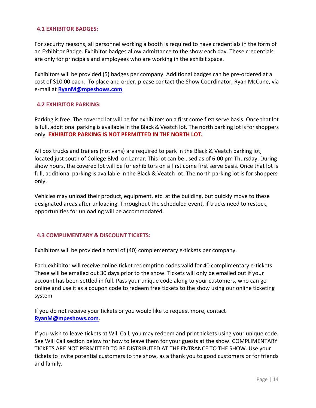#### **4.1 EXHIBITOR BADGES:**

For security reasons, all personnel working a booth is required to have credentials in the form of an Exhibitor Badge. Exhibitor badges allow admittance to the show each day. These credentials are only for principals and employees who are working in the exhibit space.

Exhibitors will be provided (5) badges per company. Additional badges can be pre-ordered at a cost of \$10.00 each. To place and order, please contact the Show Coordinator, Ryan McCune, via e-mail at **[RyanM@mpeshows.com](mailto:RyanM@mpeshows.com)**

#### **4.2 EXHIBITOR PARKING:**

Parking is free. The covered lot will be for exhibitors on a first come first serve basis. Once that lot is full, additional parking is available in the Black & Veatch lot. The north parking lot is for shoppers only. **EXHIBITOR PARKING IS NOT PERMITTED IN THE NORTH LOT.**

All box trucks and trailers (not vans) are required to park in the Black & Veatch parking lot, located just south of College Blvd. on Lamar. This lot can be used as of 6:00 pm Thursday. During show hours, the covered lot will be for exhibitors on a first come first serve basis. Once that lot is full, additional parking is available in the Black & Veatch lot. The north parking lot is for shoppers only.

Vehicles may unload their product, equipment, etc. at the building, but quickly move to these designated areas after unloading. Throughout the scheduled event, if trucks need to restock, opportunities for unloading will be accommodated.

#### **4.3 COMPLIMENTARY & DISCOUNT TICKETS:**

Exhibitors will be provided a total of (40) complementary e-tickets per company.

Each exhibitor will receive online ticket redemption codes valid for 40 complimentary e-tickets These will be emailed out 30 days prior to the show. Tickets will only be emailed out if your account has been settled in full. Pass your unique code along to your customers, who can go online and use it as a coupon code to redeem free tickets to the show using our online ticketing system

If you do not receive your tickets or you would like to request more, contact **[RyanM@mpeshows.com](mailto:RyanM@mpeshows.com)**.

If you wish to leave tickets at Will Call, you may redeem and print tickets using your unique code. See Will Call section below for how to leave them for your guests at the show. COMPLIMENTARY TICKETS ARE NOT PERMITTED TO BE DISTRIBUTED AT THE ENTRANCE TO THE SHOW. Use your tickets to invite potential customers to the show, as a thank you to good customers or for friends and family.